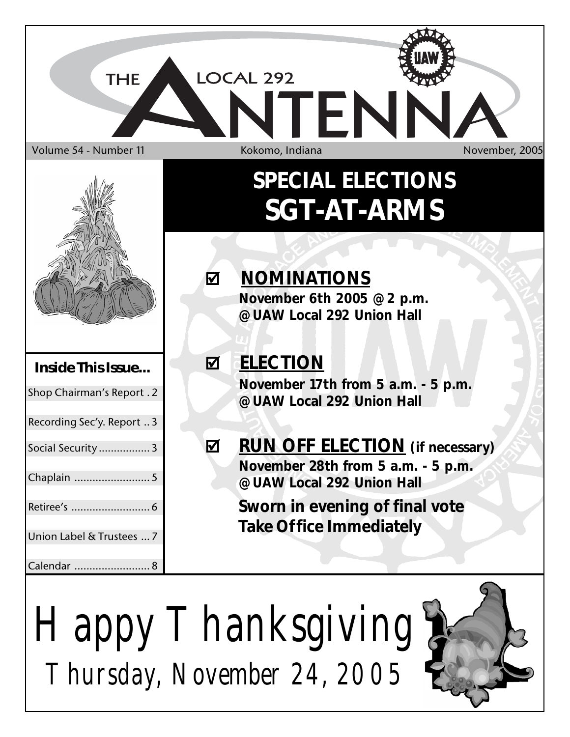



*Happy Thanksgiving Thursday, November 24, 2005*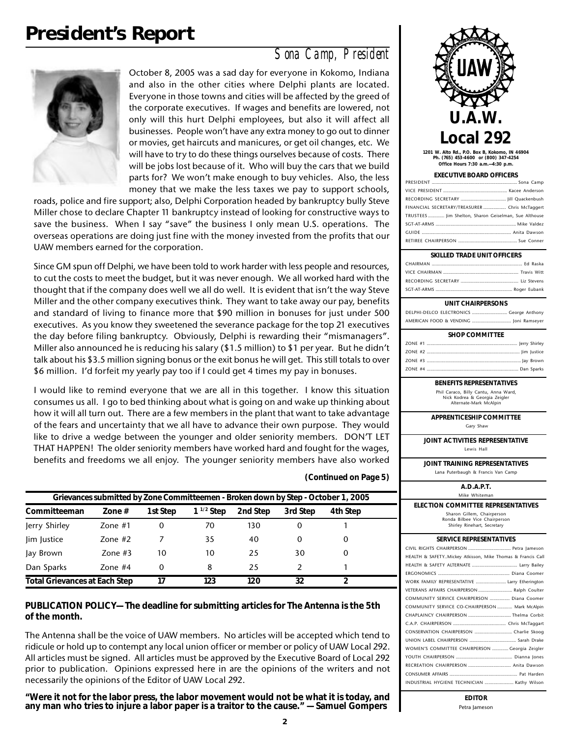# **President's Report**

#### *Sona Camp, President*



October 8, 2005 was a sad day for everyone in Kokomo, Indiana and also in the other cities where Delphi plants are located. Everyone in those towns and cities will be affected by the greed of the corporate executives. If wages and benefits are lowered, not only will this hurt Delphi employees, but also it will affect all businesses. People won't have any extra money to go out to dinner or movies, get haircuts and manicures, or get oil changes, etc. We will have to try to do these things ourselves because of costs. There will be jobs lost because of it. Who will buy the cars that we build parts for? We won't make enough to buy vehicles. Also, the less money that we make the less taxes we pay to support schools,

roads, police and fire support; also, Delphi Corporation headed by bankruptcy bully Steve Miller chose to declare Chapter 11 bankruptcy instead of looking for constructive ways to save the business. When I say "save" the business I only mean U.S. operations. The overseas operations are doing just fine with the money invested from the profits that our UAW members earned for the corporation.

Since GM spun off Delphi, we have been told to work harder with less people and resources, to cut the costs to meet the budget, but it was never enough. We all worked hard with the thought that if the company does well we all do well. It is evident that isn't the way Steve Miller and the other company executives think. They want to take away our pay, benefits and standard of living to finance more that \$90 million in bonuses for just under 500 executives. As you know they sweetened the severance package for the top 21 executives the day before filing bankruptcy. Obviously, Delphi is rewarding their "mismanagers". Miller also announced he is reducing his salary (\$1.5 million) to \$1 per year. But he didn't talk about his \$3.5 million signing bonus or the exit bonus he will get. This still totals to over \$6 million. I'd forfeit my yearly pay too if I could get 4 times my pay in bonuses.

I would like to remind everyone that we are all in this together. I know this situation consumes us all. I go to bed thinking about what is going on and wake up thinking about how it will all turn out. There are a few members in the plant that want to take advantage of the fears and uncertainty that we all have to advance their own purpose. They would like to drive a wedge between the younger and older seniority members. DON'T LET THAT HAPPEN! The older seniority members have worked hard and fought for the wages, benefits and freedoms we all enjoy. The younger seniority members have also worked

| Grievances submitted by Zone Committeemen - Broken down by Step - October 1, 2005          |           |    |    |     |               |          |  |  |
|--------------------------------------------------------------------------------------------|-----------|----|----|-----|---------------|----------|--|--|
| $1^{1/2}$ Step<br>3rd Step<br>Committeeman<br>2nd Step<br>1st Step<br>4th Step<br>Zone $#$ |           |    |    |     |               |          |  |  |
| Jerry Shirley                                                                              | Zone $#1$ | 0  | 70 | 130 | 0             |          |  |  |
| lim Justice                                                                                | Zone $#2$ |    | 35 | 40  | $\Omega$      | $\Omega$ |  |  |
| Jay Brown                                                                                  | Zone $#3$ | 10 | 10 | 25  | 30            |          |  |  |
| Dan Sparks                                                                                 | Zone $#4$ | 0  | 8  | 25  | $\mathcal{P}$ |          |  |  |
| 32<br><b>Total Grievances at Each Step</b><br>123<br>120<br>17                             |           |    |    |     |               |          |  |  |

**(Continued on Page 5)**

#### **PUBLICATION POLICY— The deadline for submitting articles for The Antenna is the 5th of the month.**

The Antenna shall be the voice of UAW members. No articles will be accepted which tend to ridicule or hold up to contempt any local union officer or member or policy of UAW Local 292. All articles must be signed. All articles must be approved by the Executive Board of Local 292 prior to publication. Opinions expressed here in are the opinions of the writers and not necessarily the opinions of the Editor of UAW Local 292.

**"Were it not for the labor press, the labor movement would not be what it is today, and any man who tries to injure a labor paper is a traitor to the cause." — Samuel Gompers**



**1201 W. Alto Rd., P.O. Box B, Kokomo, IN 46904 Ph. (765) 453-4600 or (800) 347-4254 Office Hours 7:30 a.m.—4:30 p.m.**

#### **EXECUTIVE BOARD OFFICERS**

| FINANCIAL SECRETARY/TREASURER  Chris McTaggert        |  |
|-------------------------------------------------------|--|
| TRUSTEES  Jim Shelton, Sharon Geiselman, Sue Althouse |  |
|                                                       |  |
|                                                       |  |
|                                                       |  |

#### **SKILLED TRADE UNIT OFFICERS**

#### **UNIT CHAIRPERSONS**

DELPHI-DELCO ELECTRONICS ............................ George Anthony AMERICAN FOOD & VENDING ............................... Joni Ramseyer

| <b>SHOP COMMITTEE</b> |  |
|-----------------------|--|
|                       |  |
|                       |  |
|                       |  |
|                       |  |

#### **BENEFITS REPRESENTATIVES** Phil Caraco, Billy Cantu, Anna Ward,

Nick Kodrea & Georgia Zeigler Alternate-Mark McAlpin

**APPRENTICESHIP COMMITTEE** Gary Shaw

**JOINT ACTIVITIES REPRESENTATIVE** Lewis Hall

**JOINT TRAINING REPRESENTATIVES**

Lana Puterbaugh & Francis Van Camp **A.D.A.P.T.** Mike Whiteman **ELECTION COMMITTEE REPRESENTATIVES** Sharon Gillem, Chairperson Ronda Bilbee Vice Chairperson Shirley Rinehart, Secretary **SERVICE REPRESENTATIVES** CIVIL RIGHTS CHAIRPERSON .................................. Petra Jameson HEALTH & SAFETY..Mickey Atkisson, Mike Thomas & Francis Call HEALTH & SAFETY ALTERNATE .................................... Larry Bailey ERGONOMICS ......................................................... Diana Coomer WORK FAMILY REPRESENTATIVE ......................... Larry Etherington VETERANS AFFAIRS CHAIRPERSON ........................... Ralph Coulter COMMUNITY SERVICE CHAIRPERSON ................ Diana Coomer COMMUNITY SERVICE CO-CHAIRPERSON ............ Mark McAlpin CHAPLAINCY CHAIRPERSON .................................. Thelma Corbit C.A.P. CHAIRPERSON .......................................... Chris McTaggart CONSERVATION CHAIRPERSON .............................. Charlie Skoog UNION LABEL CHAIRPERSON ..................................... Sarah Drake WOMEN'S COMMITTEE CHAIRPERSON ............. Georgia Zeigler

> **EDITOR** Petra Jameson

YOUTH CHAIRPERSON ............................................. Dianna Jones RECREATION CHAIRPERSON .................................. Anita Dawson CONSUMER AFFAIRS ...................................................... Pat Harden INDUSTRIAL HYGIENE TECHNICIAN ....................... Kathy Wilson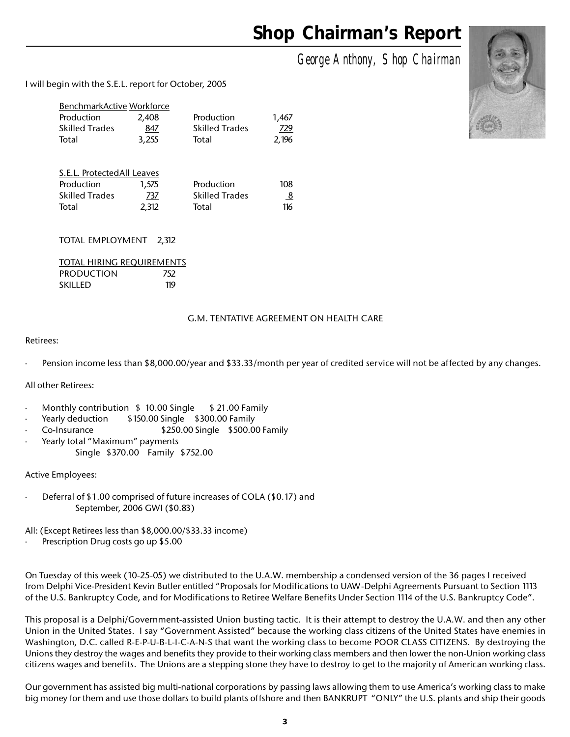# **Shop Chairman's Report**

*George Anthony, Shop Chairman*

I will begin with the S.E.L. report for October, 2005

| BenchmarkActive Workforce |       |                       |       |
|---------------------------|-------|-----------------------|-------|
| Production                | 2.408 | Production            | 1.467 |
| <b>Skilled Trades</b>     | 847   | <b>Skilled Trades</b> | 729   |
| Total                     | 3.255 | Total                 | 2.196 |

| S.E.L. Protected All Leaves |       |                       |                |
|-----------------------------|-------|-----------------------|----------------|
| Production                  | 1.575 | Production            | 108            |
| <b>Skilled Trades</b>       | 737   | <b>Skilled Trades</b> | $\overline{8}$ |
| Total                       | 2.312 | Total                 | 116            |

TOTAL EMPLOYMENT 2,312

|                   | TOTAL HIRING REOUIREMENTS |
|-------------------|---------------------------|
| <b>PRODUCTION</b> | 752                       |
| <b>SKILLED</b>    | 119                       |

#### G.M. TENTATIVE AGREEMENT ON HEALTH CARE

#### Retirees:

Pension income less than \$8,000.00/year and \$33.33/month per year of credited service will not be affected by any changes.

All other Retirees:

- Monthly contribution  $$10.00$  Single  $$21.00$  Family
- Yearly deduction \$150.00 Single \$300.00 Family
- Co-Insurance  $$250.00$  Single \$500.00 Family
- Yearly total "Maximum" payments Single \$370.00 Family \$752.00

Active Employees:

Deferral of \$1.00 comprised of future increases of COLA (\$0.17) and September, 2006 GWI (\$0.83)

All: (Except Retirees less than \$8,000.00/\$33.33 income)

Prescription Drug costs go up \$5.00

On Tuesday of this week (10-25-05) we distributed to the U.A.W. membership a condensed version of the 36 pages I received from Delphi Vice-President Kevin Butler entitled "Proposals for Modifications to UAW-Delphi Agreements Pursuant to Section 1113 of the U.S. Bankruptcy Code, and for Modifications to Retiree Welfare Benefits Under Section 1114 of the U.S. Bankruptcy Code".

This proposal is a Delphi/Government-assisted Union busting tactic. It is their attempt to destroy the U.A.W. and then any other Union in the United States. I say "Government Assisted" because the working class citizens of the United States have enemies in Washington, D.C. called R-E-P-U-B-L-I-C-A-N-S that want the working class to become POOR CLASS CITIZENS. By destroying the Unions they destroy the wages and benefits they provide to their working class members and then lower the non-Union working class citizens wages and benefits. The Unions are a stepping stone they have to destroy to get to the majority of American working class.

Our government has assisted big multi-national corporations by passing laws allowing them to use America's working class to make big money for them and use those dollars to build plants offshore and then BANKRUPT "ONLY" the U.S. plants and ship their goods

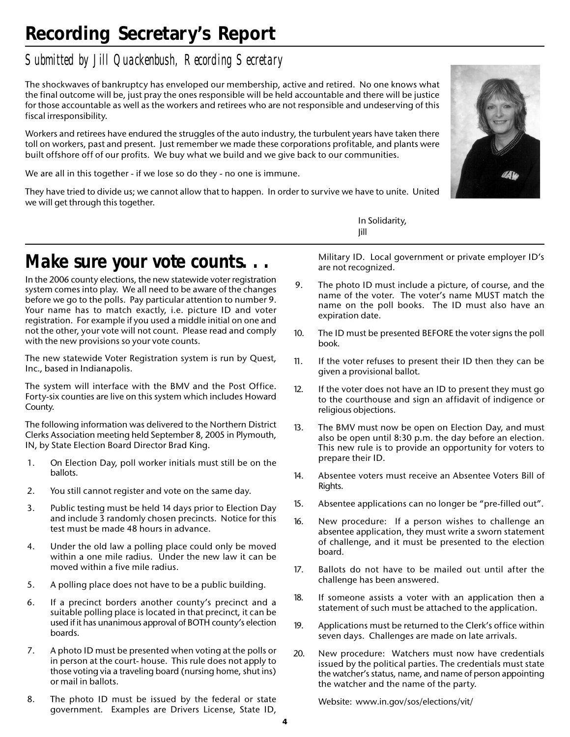# **Recording Secretary's Report**

### *Submitted by Jill Quackenbush, Recording Secretary*

The shockwaves of bankruptcy has enveloped our membership, active and retired. No one knows what the final outcome will be, just pray the ones responsible will be held accountable and there will be justice for those accountable as well as the workers and retirees who are not responsible and undeserving of this fiscal irresponsibility.

Workers and retirees have endured the struggles of the auto industry, the turbulent years have taken there toll on workers, past and present. Just remember we made these corporations profitable, and plants were built offshore off of our profits. We buy what we build and we give back to our communities.

We are all in this together - if we lose so do they - no one is immune.

They have tried to divide us; we cannot allow that to happen. In order to survive we have to unite. United we will get through this together.



In Solidarity, Jill

## *Make sure your vote counts.*

In the 2006 county elections, the new statewide voter registration system comes into play. We all need to be aware of the changes before we go to the polls. Pay particular attention to number 9. Your name has to match exactly, i.e. picture ID and voter registration. For example if you used a middle initial on one and not the other, your vote will not count. Please read and comply with the new provisions so your vote counts.

The new statewide Voter Registration system is run by Quest, Inc., based in Indianapolis.

The system will interface with the BMV and the Post Office. Forty-six counties are live on this system which includes Howard County.

The following information was delivered to the Northern District Clerks Association meeting held September 8, 2005 in Plymouth, IN, by State Election Board Director Brad King.

- 1. On Election Day, poll worker initials must still be on the ballots.
- 2. You still cannot register and vote on the same day.
- 3. Public testing must be held 14 days prior to Election Day and include 3 randomly chosen precincts. Notice for this test must be made 48 hours in advance.
- 4. Under the old law a polling place could only be moved within a one mile radius. Under the new law it can be moved within a five mile radius.
- 5. A polling place does not have to be a public building.
- 6. If a precinct borders another county's precinct and a suitable polling place is located in that precinct, it can be used if it has unanimous approval of BOTH county's election boards.
- 7. A photo ID must be presented when voting at the polls or in person at the court- house. This rule does not apply to those voting via a traveling board (nursing home, shut ins) or mail in ballots.
- 8. The photo ID must be issued by the federal or state government. Examples are Drivers License, State ID,

Military ID. Local government or private employer ID's are not recognized.

- 9. The photo ID must include a picture, of course, and the name of the voter. The voter's name MUST match the name on the poll books. The ID must also have an expiration date.
- 10. The ID must be presented BEFORE the voter signs the poll book.
- 11. If the voter refuses to present their ID then they can be given a provisional ballot.
- 12. If the voter does not have an ID to present they must go to the courthouse and sign an affidavit of indigence or religious objections.
- 13. The BMV must now be open on Election Day, and must also be open until 8:30 p.m. the day before an election. This new rule is to provide an opportunity for voters to prepare their ID.
- 14. Absentee voters must receive an Absentee Voters Bill of Rights.
- 15. Absentee applications can no longer be "pre-filled out".
- 16. New procedure: If a person wishes to challenge an absentee application, they must write a sworn statement of challenge, and it must be presented to the election board.
- 17. Ballots do not have to be mailed out until after the challenge has been answered.
- 18. If someone assists a voter with an application then a statement of such must be attached to the application.
- 19. Applications must be returned to the Clerk's office within seven days. Challenges are made on late arrivals.
- 20. New procedure: Watchers must now have credentials issued by the political parties. The credentials must state the watcher's status, name, and name of person appointing the watcher and the name of the party.

Website: www.in.gov/sos/elections/vit/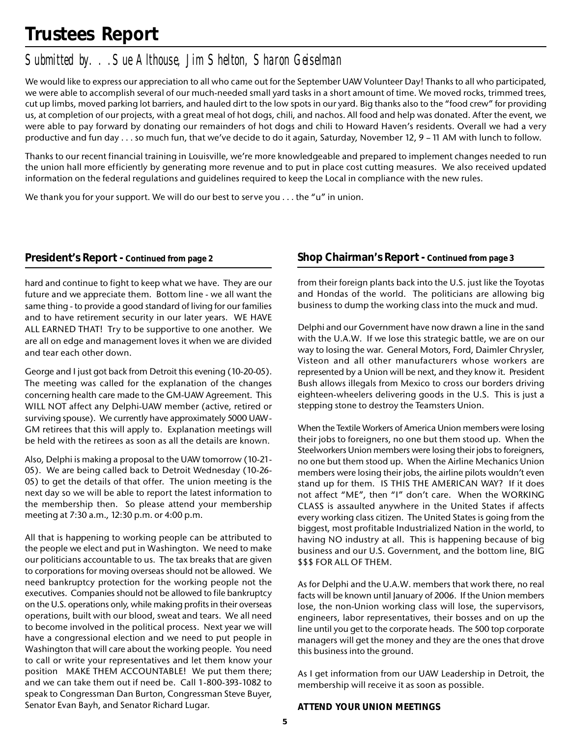# **Trustees Report**

### *Submitted by. . .Sue Althouse, Jim Shelton, Sharon Geiselman*

We would like to express our appreciation to all who came out for the September UAW Volunteer Day! Thanks to all who participated, we were able to accomplish several of our much-needed small yard tasks in a short amount of time. We moved rocks, trimmed trees, cut up limbs, moved parking lot barriers, and hauled dirt to the low spots in our yard. Big thanks also to the "food crew" for providing us, at completion of our projects, with a great meal of hot dogs, chili, and nachos. All food and help was donated. After the event, we were able to pay forward by donating our remainders of hot dogs and chili to Howard Haven's residents. Overall we had a very productive and fun day . . . so much fun, that we've decide to do it again, Saturday, November 12, 9 – 11 AM with lunch to follow.

Thanks to our recent financial training in Louisville, we're more knowledgeable and prepared to implement changes needed to run the union hall more efficiently by generating more revenue and to put in place cost cutting measures. We also received updated information on the federal regulations and guidelines required to keep the Local in compliance with the new rules.

We thank you for your support. We will do our best to serve you  $\dots$  the "u" in union.

#### **President's Report - Continued from page 2**

hard and continue to fight to keep what we have. They are our future and we appreciate them. Bottom line - we all want the same thing - to provide a good standard of living for our families and to have retirement security in our later years. WE HAVE ALL EARNED THAT! Try to be supportive to one another. We are all on edge and management loves it when we are divided and tear each other down.

George and I just got back from Detroit this evening (10-20-05). The meeting was called for the explanation of the changes concerning health care made to the GM-UAW Agreement. This WILL NOT affect any Delphi-UAW member (active, retired or surviving spouse). We currently have approximately 5000 UAW-GM retirees that this will apply to. Explanation meetings will be held with the retirees as soon as all the details are known.

Also, Delphi is making a proposal to the UAW tomorrow (10-21- 05). We are being called back to Detroit Wednesday (10-26- 05) to get the details of that offer. The union meeting is the next day so we will be able to report the latest information to the membership then. So please attend your membership meeting at 7:30 a.m., 12:30 p.m. or 4:00 p.m.

All that is happening to working people can be attributed to the people we elect and put in Washington. We need to make our politicians accountable to us. The tax breaks that are given to corporations for moving overseas should not be allowed. We need bankruptcy protection for the working people not the executives. Companies should not be allowed to file bankruptcy on the U.S. operations only, while making profits in their overseas operations, built with our blood, sweat and tears. We all need to become involved in the political process. Next year we will have a congressional election and we need to put people in Washington that will care about the working people. You need to call or write your representatives and let them know your position MAKE THEM ACCOUNTABLE! We put them there; and we can take them out if need be. Call 1-800-393-1082 to speak to Congressman Dan Burton, Congressman Steve Buyer, Senator Evan Bayh, and Senator Richard Lugar.

#### **Shop Chairman's Report - Continued from page 3**

from their foreign plants back into the U.S. just like the Toyotas and Hondas of the world. The politicians are allowing big business to dump the working class into the muck and mud.

Delphi and our Government have now drawn a line in the sand with the U.A.W. If we lose this strategic battle, we are on our way to losing the war. General Motors, Ford, Daimler Chrysler, Visteon and all other manufacturers whose workers are represented by a Union will be next, and they know it. President Bush allows illegals from Mexico to cross our borders driving eighteen-wheelers delivering goods in the U.S. This is just a stepping stone to destroy the Teamsters Union.

When the Textile Workers of America Union members were losing their jobs to foreigners, no one but them stood up. When the Steelworkers Union members were losing their jobs to foreigners, no one but them stood up. When the Airline Mechanics Union members were losing their jobs, the airline pilots wouldn't even stand up for them. IS THIS THE AMERICAN WAY? If it does not affect "ME", then "I" don't care. When the WORKING CLASS is assaulted anywhere in the United States if affects every working class citizen. The United States is going from the biggest, most profitable Industrialized Nation in the world, to having NO industry at all. This is happening because of big business and our U.S. Government, and the bottom line, BIG \$\$\$ FOR ALL OF THEM.

As for Delphi and the U.A.W. members that work there, no real facts will be known until January of 2006. If the Union members lose, the non-Union working class will lose, the supervisors, engineers, labor representatives, their bosses and on up the line until you get to the corporate heads. The 500 top corporate managers will get the money and they are the ones that drove this business into the ground.

As I get information from our UAW Leadership in Detroit, the membership will receive it as soon as possible.

#### **ATTEND YOUR UNION MEETINGS**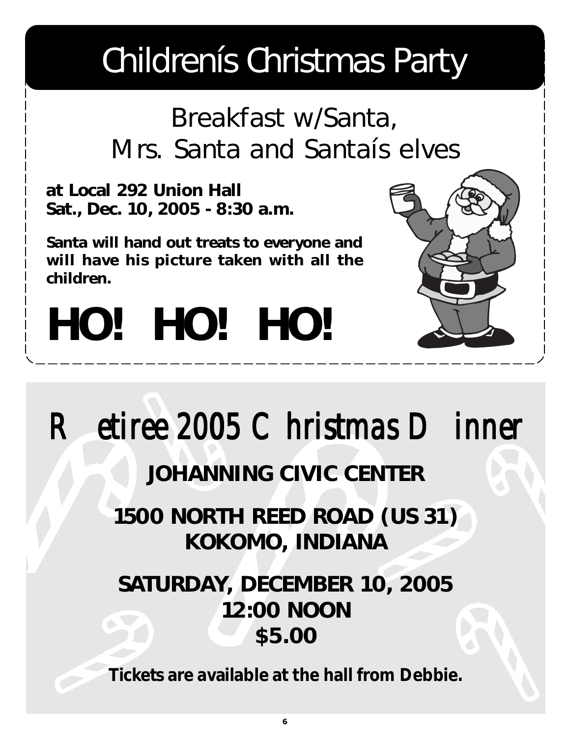# Childrenís Christmas Party

# Breakfast w/Santa, Mrs. Santa and Santaís elves

**at Local 292 Union Hall Sat., Dec. 10, 2005 - 8:30 a.m.**

**Santa will hand out treats to everyone and will have his picture taken with all the children.**



# *HO! HO! HO!*

*Retiree 2005 Christmas Dinner Retiree 2005 Christmas DinnerRetiree 2005 Christmas Dinner*

# **JOHANNING CIVIC CENTER**

**1500 NORTH REED ROAD (US 31) KOKOMO, INDIANA**

# **SATURDAY, DECEMBER 10, 2005 12:00 NOON \$5.00**

**Tickets are available at the hall from Debbie.**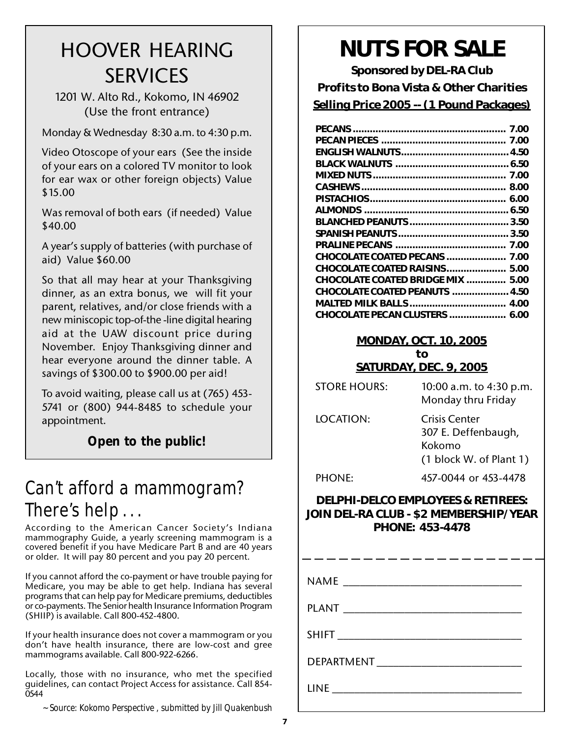# HOOVER HEARING SERVICES

1201 W. Alto Rd., Kokomo, IN 46902 (Use the front entrance)

Monday & Wednesday 8:30 a.m. to 4:30 p.m.

Video Otoscope of your ears (See the inside of your ears on a colored TV monitor to look for ear wax or other foreign objects) Value \$15.00

Was removal of both ears (if needed) Value \$40.00

A year's supply of batteries (with purchase of aid) Value \$60.00

So that all may hear at your Thanksgiving dinner, as an extra bonus, we will fit your parent, relatives, and/or close friends with a new miniscopic top-of-the -line digital hearing aid at the UAW discount price during November. Enjoy Thanksgiving dinner and hear everyone around the dinner table. A savings of \$300.00 to \$900.00 per aid!

To avoid waiting, please call us at (765) 453- 5741 or (800) 944-8485 to schedule your appointment.

**Open to the public!**

# Can't afford a mammogram? There's help . . .

According to the American Cancer Society's Indiana mammography Guide, a yearly screening mammogram is a covered benefit if you have Medicare Part B and are 40 years or older. It will pay 80 percent and you pay 20 percent.

If you cannot afford the co-payment or have trouble paying for Medicare, you may be able to get help. Indiana has several programs that can help pay for Medicare premiums, deductibles or co-payments. The Senior health Insurance Information Program (SHIIP) is available. Call 800-452-4800.

If your health insurance does not cover a mammogram or you don't have health insurance, there are low-cost and gree mammograms available. Call 800-922-6266.

Locally, those with no insurance, who met the specified guidelines, can contact Project Access for assistance. Call 854- 0544

*~ Source: Kokomo Perspective , submitted by Jill Quakenbush*

# **NUTS FOR SALE**

**Sponsored by DEL-RA Club Profits to Bona Vista & Other Charities Selling Price 2005 -- (1 Pound Packages)**

| <b>CHOCOLATE COATED PECANS  7.00</b>     |  |
|------------------------------------------|--|
| CHOCOLATE COATED RAISINS 5.00            |  |
| <b>CHOCOLATE COATED BRIDGE MIX  5.00</b> |  |
| <b>CHOCOLATE COATED PEANUTS  4.50</b>    |  |
|                                          |  |
| CHOCOLATE PECAN CLUSTERS  6.00           |  |
|                                          |  |

#### **MONDAY, OCT. 10, 2005 to SATURDAY, DEC. 9, 2005**

| <b>STORE HOURS:</b> | 10:00 a.m. to 4:30 p.m.<br>Monday thru Friday                               |
|---------------------|-----------------------------------------------------------------------------|
| LOCATION:           | Crisis Center<br>307 E. Deffenbaugh,<br>Kokomo<br>$(1$ block W. of Plant 1) |
| <b>PHONE:</b>       | 457-0044 or 453-4478                                                        |

#### **DELPHI-DELCO EMPLOYEES & RETIREES: JOIN DEL-RA CLUB - \$2 MEMBERSHIP/YEAR PHONE: 453-4478**

- -- -- -- -- -- -- -- -- -- $NAME$ PLANT **EXAMPLE AND THE SET OF A SET OF A SET OF A SET OF A SET OF A SET OF A SET OF A SET OF A SET OF A SET OF A**  $SHIFT$ DEPARTMENT LINE \_\_\_\_\_\_\_\_\_\_\_\_\_\_\_\_\_\_\_\_\_\_\_\_\_\_\_\_\_\_\_\_\_\_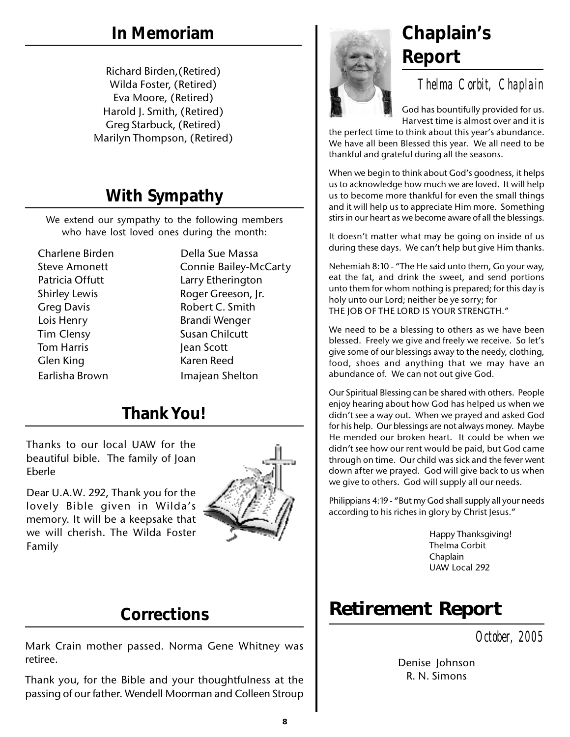Richard Birden,(Retired) Wilda Foster, (Retired) Eva Moore, (Retired) Harold J. Smith, (Retired) Greg Starbuck, (Retired) Marilyn Thompson, (Retired)

# **With Sympathy**

We extend our sympathy to the following members who have lost loved ones during the month:

Charlene Birden Della Sue Massa Greg Davis **Robert C. Smith** Lois Henry **Brandi Wenger** Tim Clensy Susan Chilcutt Tom Harris **Jean Scott** Glen King **Karen Reed** Earlisha Brown Imajean Shelton

Steve Amonett Connie Bailey-McCarty Patricia Offutt Larry Etherington Shirley Lewis **Roger Greeson, Ir.** 

# **Thank You!**

Thanks to our local UAW for the beautiful bible. The family of Joan Eberle

Dear U.A.W. 292, Thank you for the lovely Bible given in Wilda's memory. It will be a keepsake that we will cherish. The Wilda Foster Family



## **Corrections**

Mark Crain mother passed. Norma Gene Whitney was retiree.

Thank you, for the Bible and your thoughtfulness at the passing of our father. Wendell Moorman and Colleen Stroup



# **Report**

*Thelma Corbit, Chaplain*

God has bountifully provided for us. Harvest time is almost over and it is

the perfect time to think about this year's abundance. We have all been Blessed this year. We all need to be thankful and grateful during all the seasons.

When we begin to think about God's goodness, it helps us to acknowledge how much we are loved. It will help us to become more thankful for even the small things and it will help us to appreciate Him more. Something stirs in our heart as we become aware of all the blessings.

It doesn't matter what may be going on inside of us during these days. We can't help but give Him thanks.

Nehemiah 8:10 - "The He said unto them, Go your way, eat the fat, and drink the sweet, and send portions unto them for whom nothing is prepared; for this day is holy unto our Lord; neither be ye sorry; for THE JOB OF THE LORD IS YOUR STRENGTH."

We need to be a blessing to others as we have been blessed. Freely we give and freely we receive. So let's give some of our blessings away to the needy, clothing, food, shoes and anything that we may have an abundance of. We can not out give God.

Our Spiritual Blessing can be shared with others. People enjoy hearing about how God has helped us when we didn't see a way out. When we prayed and asked God for his help. Our blessings are not always money. Maybe He mended our broken heart. It could be when we didn't see how our rent would be paid, but God came through on time. Our child was sick and the fever went down after we prayed. God will give back to us when we give to others. God will supply all our needs.

Philippians 4:19 - "But my God shall supply all your needs according to his riches in glory by Christ Jesus."

> Happy Thanksgiving! Thelma Corbit Chaplain UAW Local 292

# **Retirement Report**

*October, 2005*

Denise Johnson R. N. Simons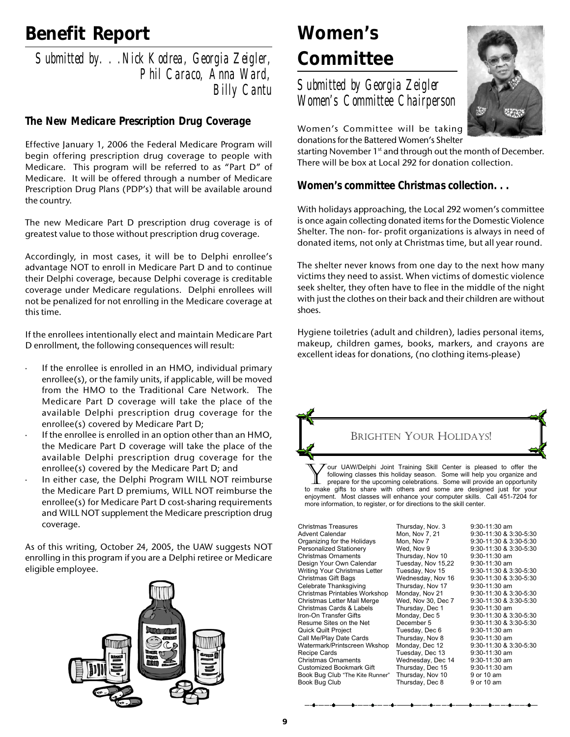# **Benefit Report**

*Submitted by. . .Nick Kodrea, Georgia Zeigler, Phil Caraco, Anna Ward, Billy Cantu*

#### *The New Medicare Prescription Drug Coverage*

Effective January 1, 2006 the Federal Medicare Program will begin offering prescription drug coverage to people with Medicare. This program will be referred to as "Part D" of Medicare. It will be offered through a number of Medicare Prescription Drug Plans (PDP's) that will be available around the country.

The new Medicare Part D prescription drug coverage is of greatest value to those without prescription drug coverage.

Accordingly, in most cases, it will be to Delphi enrollee's advantage NOT to enroll in Medicare Part D and to continue their Delphi coverage, because Delphi coverage is creditable coverage under Medicare regulations. Delphi enrollees will not be penalized for not enrolling in the Medicare coverage at this time.

If the enrollees intentionally elect and maintain Medicare Part D enrollment, the following consequences will result:

- If the enrollee is enrolled in an HMO, individual primary enrollee(s), or the family units, if applicable, will be moved from the HMO to the Traditional Care Network. The Medicare Part D coverage will take the place of the available Delphi prescription drug coverage for the enrollee(s) covered by Medicare Part D;
- If the enrollee is enrolled in an option other than an HMO, the Medicare Part D coverage will take the place of the available Delphi prescription drug coverage for the enrollee(s) covered by the Medicare Part D; and
- In either case, the Delphi Program WILL NOT reimburse the Medicare Part D premiums, WILL NOT reimburse the enrollee(s) for Medicare Part D cost-sharing requirements and WILL NOT supplement the Medicare prescription drug coverage.

As of this writing, October 24, 2005, the UAW suggests NOT enrolling in this program if you are a Delphi retiree or Medicare eligible employee.



# **Women's Committee**

*Submitted by Georgia Zeigler Women's Committee Chairperson*



Women's Committee will be taking donations for the Battered Women's Shelter

starting November 1<sup>st</sup> and through out the month of December. There will be box at Local 292 for donation collection.

#### *Women's committee Christmas collection. . .*

With holidays approaching, the Local 292 women's committee is once again collecting donated items for the Domestic Violence Shelter. The non- for- profit organizations is always in need of donated items, not only at Christmas time, but all year round.

The shelter never knows from one day to the next how many victims they need to assist. When victims of domestic violence seek shelter, they often have to flee in the middle of the night with just the clothes on their back and their children are without shoes.

Hygiene toiletries (adult and children), ladies personal items, makeup, children games, books, markers, and crayons are excellent ideas for donations, (no clothing items-please)



our UAW/Delphi Joint Training Skill Center is pleased to offer the following classes this holiday season. Some will help you organize and prepare for the upcoming celebrations. Some will provide an opportunity to make gifts to share with others and some are designed just for your enjoyment. Most classes will enhance your computer skills. Call 451-7204 for more information, to register, or for directions to the skill center. Y

Christmas Treasures Thursday, Nov. 3 9:30-11:30 am Organizing for the Holidays Mon, Nov 7<br>Personalized Stationery Wed, Nov 9 Christmas Ornaments Thursday, Nov 10 9:30-11:30 am Design Your Own Calendar Tuesday, Nov 15,22 9:30-11:30 am Writing Your Christmas Letter Christmas Gift Bags Wednesday, Nov 16 9:30-11:30 & 3:30-5:30 Celebrate Thanksgiving Thursday, Nov 17 9:30-11:30 am Christmas Printables Workshop Monday, Nov 21 Christmas Letter Mail Merge Wed, Nov 30, Dec 7 9:30-11:30 & 3:30-5:30 Christmas Cards & Labels Iron-On Transfer Gifts Monday, Dec 5 9:30-11:30 & 3:30-5:30 Quick Quilt Project Tuesday, Dec 6 9:30-11:30 am Call Me/Play Date Cards Thursday, Nov 8 9:30-11:30 am<br>
Watermark/Printscreen Wkshop Monday, Dec 12 9:30-11:30 & 3:30-5:30 Watermark/Printscreen Wkshop Monday, Dec 12 9:30-11:30 & 3<br>Recipe Cards Tuesday, Dec 13 9:30-11:30 am Christmas Ornaments Wednesday, Dec 14 9:30-11:30 am Customized Bookmark Gift Thursday, Dec 15 Book Bug Club "The Kite Runner" Thursday, Nov 10 9 or 10 am<br>Book Bug Club 10 9 10 Thursday, Dec 8 9 or 10 am

Tuesday, Dec 13 9:30-11:30 am<br>Wednesday, Dec 14 9:30-11:30 am Thursday, Dec 8 9 or 10 am

Mon, Nov 7, 21 9:30-11:30 & 3:30-5:30<br>Mon, Nov 7 9:30-11:30 & 3:30-5:30 Personalized Stationery Wed, Nov 9 9:30-11:30 & 3:30-5:30 Recember 5 9:30-11:30 & 3:30-5:30<br>Tuesday, Dec 6 9:30-11:30 am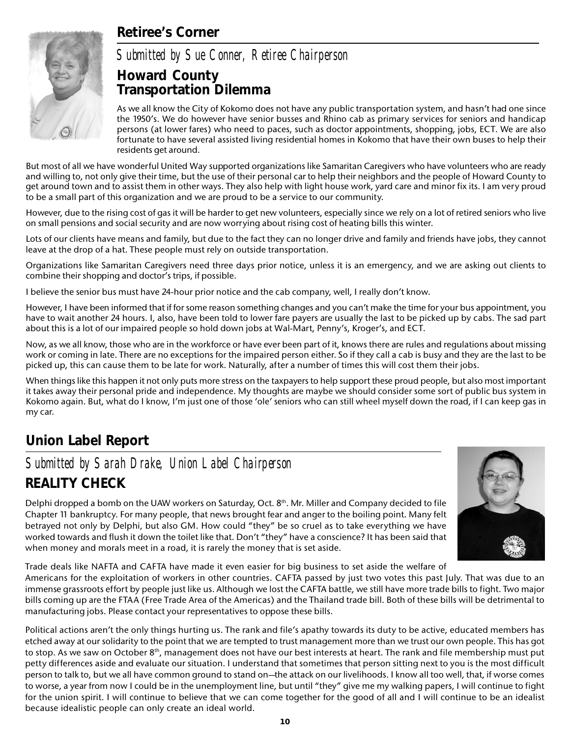### **Retiree's Corner**



*Submitted by Sue Conner, Retiree Chairperson*

#### **Howard County Transportation Dilemma**

As we all know the City of Kokomo does not have any public transportation system, and hasn't had one since the 1950's. We do however have senior busses and Rhino cab as primary services for seniors and handicap persons (at lower fares) who need to paces, such as doctor appointments, shopping, jobs, ECT. We are also fortunate to have several assisted living residential homes in Kokomo that have their own buses to help their residents get around.

But most of all we have wonderful United Way supported organizations like Samaritan Caregivers who have volunteers who are ready and willing to, not only give their time, but the use of their personal car to help their neighbors and the people of Howard County to get around town and to assist them in other ways. They also help with light house work, yard care and minor fix its. I am very proud to be a small part of this organization and we are proud to be a service to our community.

However, due to the rising cost of gas it will be harder to get new volunteers, especially since we rely on a lot of retired seniors who live on small pensions and social security and are now worrying about rising cost of heating bills this winter.

Lots of our clients have means and family, but due to the fact they can no longer drive and family and friends have jobs, they cannot leave at the drop of a hat. These people must rely on outside transportation.

Organizations like Samaritan Caregivers need three days prior notice, unless it is an emergency, and we are asking out clients to combine their shopping and doctor's trips, if possible.

I believe the senior bus must have 24-hour prior notice and the cab company, well, I really don't know.

However, I have been informed that if for some reason something changes and you can't make the time for your bus appointment, you have to wait another 24 hours. I, also, have been told to lower fare payers are usually the last to be picked up by cabs. The sad part about this is a lot of our impaired people so hold down jobs at Wal-Mart, Penny's, Kroger's, and ECT.

Now, as we all know, those who are in the workforce or have ever been part of it, knows there are rules and regulations about missing work or coming in late. There are no exceptions for the impaired person either. So if they call a cab is busy and they are the last to be picked up, this can cause them to be late for work. Naturally, after a number of times this will cost them their jobs.

When things like this happen it not only puts more stress on the taxpayers to help support these proud people, but also most important it takes away their personal pride and independence. My thoughts are maybe we should consider some sort of public bus system in Kokomo again. But, what do I know, I'm just one of those 'ole' seniors who can still wheel myself down the road, if I can keep gas in my car.

### **Union Label Report**

### *Submitted by Sarah Drake, Union Label Chairperson* **REALITY CHECK**

Delphi dropped a bomb on the UAW workers on Saturday, Oct.  $8<sup>th</sup>$ . Mr. Miller and Company decided to file Chapter 11 bankruptcy. For many people, that news brought fear and anger to the boiling point. Many felt betrayed not only by Delphi, but also GM. How could "they" be so cruel as to take everything we have worked towards and flush it down the toilet like that. Don't "they" have a conscience? It has been said that when money and morals meet in a road, it is rarely the money that is set aside.



Trade deals like NAFTA and CAFTA have made it even easier for big business to set aside the welfare of

Americans for the exploitation of workers in other countries. CAFTA passed by just two votes this past July. That was due to an immense grassroots effort by people just like us. Although we lost the CAFTA battle, we still have more trade bills to fight. Two major bills coming up are the FTAA (Free Trade Area of the Americas) and the Thailand trade bill. Both of these bills will be detrimental to manufacturing jobs. Please contact your representatives to oppose these bills.

Political actions aren't the only things hurting us. The rank and file's apathy towards its duty to be active, educated members has etched away at our solidarity to the point that we are tempted to trust management more than we trust our own people. This has got to stop. As we saw on October  $8<sup>th</sup>$ , management does not have our best interests at heart. The rank and file membership must put petty differences aside and evaluate our situation. I understand that sometimes that person sitting next to you is the most difficult person to talk to, but we all have common ground to stand on—the attack on our livelihoods. I know all too well, that, if worse comes to worse, a year from now I could be in the unemployment line, but until "they" give me my walking papers, I will continue to fight for the union spirit. I will continue to believe that we can come together for the good of all and I will continue to be an idealist because idealistic people can only create an ideal world.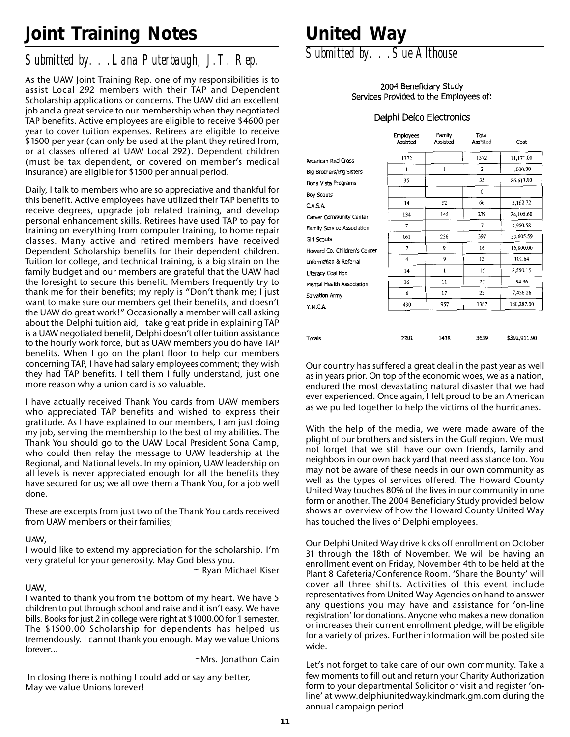# **Joint Training Notes**

### *Submitted by. . .Lana Puterbaugh, J.T. Rep.*

As the UAW Joint Training Rep. one of my responsibilities is to assist Local 292 members with their TAP and Dependent Scholarship applications or concerns. The UAW did an excellent job and a great service to our membership when they negotiated TAP benefits. Active employees are eligible to receive \$4600 per year to cover tuition expenses. Retirees are eligible to receive \$1500 per year (can only be used at the plant they retired from, or at classes offered at UAW Local 292). Dependent children (must be tax dependent, or covered on member's medical insurance) are eligible for \$1500 per annual period.

Daily, I talk to members who are so appreciative and thankful for this benefit. Active employees have utilized their TAP benefits to receive degrees, upgrade job related training, and develop personal enhancement skills. Retirees have used TAP to pay for training on everything from computer training, to home repair classes. Many active and retired members have received Dependent Scholarship benefits for their dependent children. Tuition for college, and technical training, is a big strain on the family budget and our members are grateful that the UAW had the foresight to secure this benefit. Members frequently try to thank me for their benefits; my reply is "Don't thank me; I just want to make sure our members get their benefits, and doesn't the UAW do great work!" Occasionally a member will call asking about the Delphi tuition aid, I take great pride in explaining TAP is a UAW negotiated benefit, Delphi doesn't offer tuition assistance to the hourly work force, but as UAW members you do have TAP benefits. When I go on the plant floor to help our members concerning TAP, I have had salary employees comment; they wish they had TAP benefits. I tell them I fully understand, just one more reason why a union card is so valuable.

I have actually received Thank You cards from UAW members who appreciated TAP benefits and wished to express their gratitude. As I have explained to our members, I am just doing my job, serving the membership to the best of my abilities. The Thank You should go to the UAW Local President Sona Camp, who could then relay the message to UAW leadership at the Regional, and National levels. In my opinion, UAW leadership on all levels is never appreciated enough for all the benefits they have secured for us; we all owe them a Thank You, for a job well done.

These are excerpts from just two of the Thank You cards received from UAW members or their families;

#### UAW,

I would like to extend my appreciation for the scholarship. I'm very grateful for your generosity. May God bless you.

~ Ryan Michael Kiser

#### UAW,

I wanted to thank you from the bottom of my heart. We have 5 children to put through school and raise and it isn't easy. We have bills. Books for just 2 in college were right at \$1000.00 for 1 semester. The \$1500.00 Scholarship for dependents has helped us tremendously. I cannot thank you enough. May we value Unions forever…

~Mrs. Jonathon Cain

 In closing there is nothing I could add or say any better, May we value Unions forever!

# **United Way**

*Submitted by. . .Sue Althouse*

#### 2004 Beneficiary Study Services Provided to the Employees of:

#### Delphi Delco Electronics

|                              | Employees<br>Assisted | Family<br>Assisted | Total<br>Assisted | Cost         |
|------------------------------|-----------------------|--------------------|-------------------|--------------|
| American Red Cross           | 1372                  |                    | 1372              | 11,171.00    |
| Big Brothers/Big Sisters     | 1                     | 1                  | $\mathbf{2}$      | 1,000.00     |
| Bona Vista Programs          | 35                    |                    | 35                | 86,617.00    |
| <b>Boy Scouts</b>            |                       |                    | $\bf{0}$          |              |
| C.A.S.A.                     | 14                    | 52                 | 66                | 3,162.72     |
| Carver Community Center      | 134                   | 145                | 279               | 24,105.60    |
| Family Service Association   | $\overline{7}$        |                    | 7                 | 2.960.58     |
| <b>Girl Scouts</b>           | 161                   | 236                | 397               | 50,605.59    |
| Howard Co. Children's Center | $\overline{7}$        | 9                  | 16                | 16,800.00    |
| Information & Referral       | 4                     | 9                  | 13                | 101.64       |
| Literacy Coalition           | 14                    | $\mathbf{1}$<br>à, | 15                | 8,550.15     |
| Mental Health Association    | 16                    | 11                 | 27                | 94.36        |
| Salvation Army               | 6                     | 17                 | 23                | 7,456.26     |
| Y.M.C.A.                     | 430                   | 957                | 1387              | 180,287.00   |
|                              |                       |                    |                   |              |
| Totals                       | 2201                  | 1438               | 3639              | \$392,911.90 |

Our country has suffered a great deal in the past year as well as in years prior. On top of the economic woes, we as a nation, endured the most devastating natural disaster that we had ever experienced. Once again, I felt proud to be an American as we pulled together to help the victims of the hurricanes.

With the help of the media, we were made aware of the plight of our brothers and sisters in the Gulf region. We must not forget that we still have our own friends, family and neighbors in our own back yard that need assistance too. You may not be aware of these needs in our own community as well as the types of services offered. The Howard County United Way touches 80% of the lives in our community in one form or another. The 2004 Beneficiary Study provided below shows an overview of how the Howard County United Way has touched the lives of Delphi employees.

Our Delphi United Way drive kicks off enrollment on October 31 through the 18th of November. We will be having an enrollment event on Friday, November 4th to be held at the Plant 8 Cafeteria/Conference Room. 'Share the Bounty' will cover all three shifts. Activities of this event include representatives from United Way Agencies on hand to answer any questions you may have and assistance for 'on-line registration' for donations. Anyone who makes a new donation or increases their current enrollment pledge, will be eligible for a variety of prizes. Further information will be posted site wide.

Let's not forget to take care of our own community. Take a few moments to fill out and return your Charity Authorization form to your departmental Solicitor or visit and register 'online' at www.delphiunitedway.kindmark.gm.com during the annual campaign period.